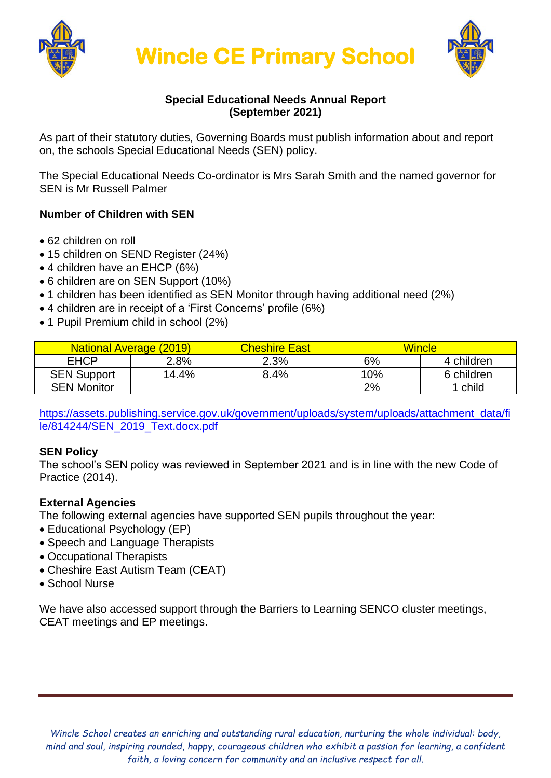





# **Special Educational Needs Annual Report (September 2021)**

As part of their statutory duties, Governing Boards must publish information about and report on, the schools Special Educational Needs (SEN) policy.

The Special Educational Needs Co-ordinator is Mrs Sarah Smith and the named governor for SEN is Mr Russell Palmer

# **Number of Children with SEN**

- 62 children on roll
- 15 children on SEND Register (24%)
- 4 children have an EHCP (6%)
- 6 children are on SEN Support (10%)
- 1 children has been identified as SEN Monitor through having additional need (2%)
- 4 children are in receipt of a 'First Concerns' profile (6%)
- 1 Pupil Premium child in school (2%)

| <b>National Average (2019)</b> |         | <b>Cheshire East</b> | Wincle |            |  |
|--------------------------------|---------|----------------------|--------|------------|--|
| <b>EHCP</b>                    | $2.8\%$ |                      | 6%     | 4 children |  |
| <b>SEN Support</b>             | 14.4%   | 8.4%                 | 10%    | 6 children |  |
| <b>SEN Monitor</b>             |         |                      | 2%     | child      |  |

[https://assets.publishing.service.gov.uk/government/uploads/system/uploads/attachment\\_data/fi](https://assets.publishing.service.gov.uk/government/uploads/system/uploads/attachment_data/file/814244/SEN_2019_Text.docx.pdf) [le/814244/SEN\\_2019\\_Text.docx.pdf](https://assets.publishing.service.gov.uk/government/uploads/system/uploads/attachment_data/file/814244/SEN_2019_Text.docx.pdf)

# **SEN Policy**

The school's SEN policy was reviewed in September 2021 and is in line with the new Code of Practice (2014).

# **External Agencies**

The following external agencies have supported SEN pupils throughout the year:

- Educational Psychology (EP)
- Speech and Language Therapists
- Occupational Therapists
- Cheshire East Autism Team (CEAT)
- School Nurse

We have also accessed support through the Barriers to Learning SENCO cluster meetings, CEAT meetings and EP meetings.

*Wincle School creates an enriching and outstanding rural education, nurturing the whole individual: body, mind and soul, inspiring rounded, happy, courageous children who exhibit a passion for learning, a confident faith, a loving concern for community and an inclusive respect for all.*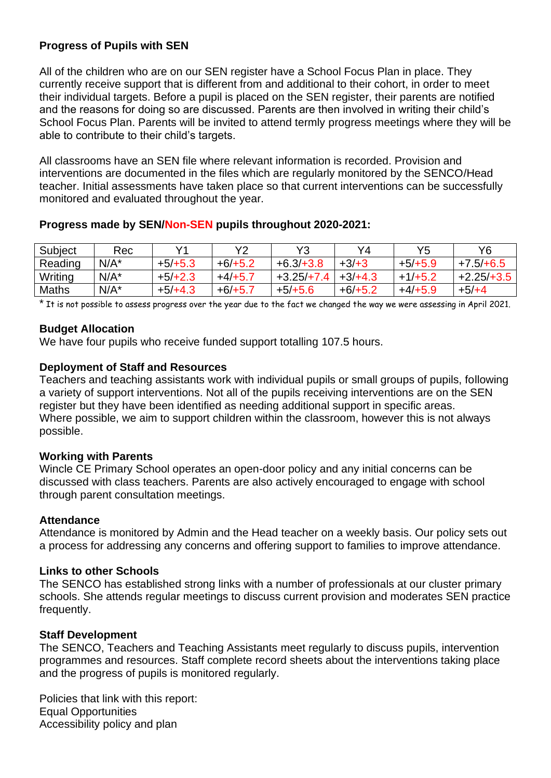# **Progress of Pupils with SEN**

All of the children who are on our SEN register have a School Focus Plan in place. They currently receive support that is different from and additional to their cohort, in order to meet their individual targets. Before a pupil is placed on the SEN register, their parents are notified and the reasons for doing so are discussed. Parents are then involved in writing their child's School Focus Plan. Parents will be invited to attend termly progress meetings where they will be able to contribute to their child's targets.

All classrooms have an SEN file where relevant information is recorded. Provision and interventions are documented in the files which are regularly monitored by the SENCO/Head teacher. Initial assessments have taken place so that current interventions can be successfully monitored and evaluated throughout the year.

# **Progress made by SEN/Non-SEN pupils throughout 2020-2021:**

| Subject      | Rec     | v1        | Υ2        | Y3           | Y4        | Y5        | Υ6           |
|--------------|---------|-----------|-----------|--------------|-----------|-----------|--------------|
| Reading      | $N/A^*$ | $+5/+5.3$ | $+6/+5.2$ | $+6.3/+3.8$  | $+3/+3$   | $+5/+5.9$ | $+7.5/+6.5$  |
| Writing      | $N/A^*$ | $+5/+2.3$ | $+4/+5.$  | $+3.25/+7.4$ | $+3/+4.3$ | $+1/+5.2$ | $+2.25/+3.5$ |
| <b>Maths</b> | $N/A^*$ | $+5/+4.3$ | $+6/+5.$  | $+5/+5.6$    | $+6/+5.2$ | $+4/+5.9$ | $+5/+4$      |

\* It is not possible to assess progress over the year due to the fact we changed the way we were assessing in April 2021.

# **Budget Allocation**

We have four pupils who receive funded support totalling 107.5 hours.

# **Deployment of Staff and Resources**

Teachers and teaching assistants work with individual pupils or small groups of pupils, following a variety of support interventions. Not all of the pupils receiving interventions are on the SEN register but they have been identified as needing additional support in specific areas. Where possible, we aim to support children within the classroom, however this is not always possible.

# **Working with Parents**

Wincle CE Primary School operates an open-door policy and any initial concerns can be discussed with class teachers. Parents are also actively encouraged to engage with school through parent consultation meetings.

# **Attendance**

Attendance is monitored by Admin and the Head teacher on a weekly basis. Our policy sets out a process for addressing any concerns and offering support to families to improve attendance.

# **Links to other Schools**

The SENCO has established strong links with a number of professionals at our cluster primary schools. She attends regular meetings to discuss current provision and moderates SEN practice frequently.

# **Staff Development**

The SENCO, Teachers and Teaching Assistants meet regularly to discuss pupils, intervention programmes and resources. Staff complete record sheets about the interventions taking place and the progress of pupils is monitored regularly.

Policies that link with this report: Equal Opportunities Accessibility policy and plan